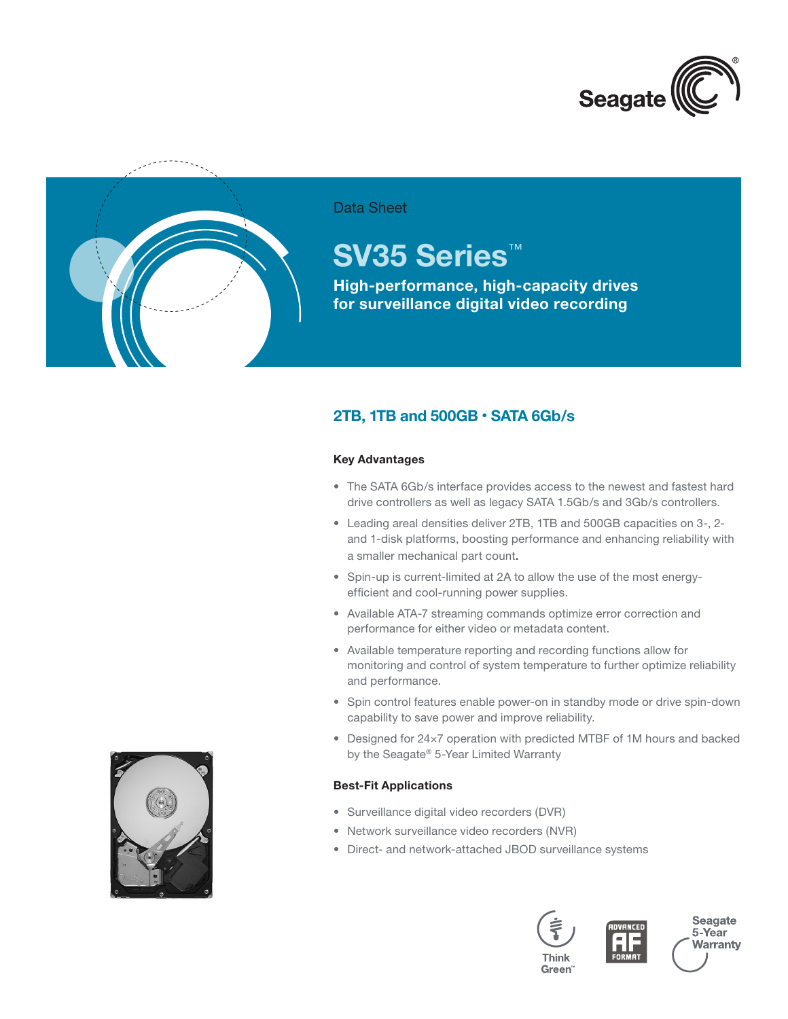



## Data Sheet

# **SV35 Series**™

**High-performance, high-capacity drives for surveillance digital video recording**

## **2TB, 1TB and 500GB** • **SATA 6Gb/s**

## **Key Advantages**

- The SATA 6Gb/s interface provides access to the newest and fastest hard drive controllers as well as legacy SATA 1.5Gb/s and 3Gb/s controllers.
- • Leading areal densities deliver 2TB, 1TB and 500GB capacities on 3-, 2 and 1-disk platforms, boosting performance and enhancing reliability with a smaller mechanical part count.
- Spin-up is current-limited at 2A to allow the use of the most energyefficient and cool-running power supplies.
- Available ATA-7 streaming commands optimize error correction and performance for either video or metadata content.
- • Available temperature reporting and recording functions allow for monitoring and control of system temperature to further optimize reliability and performance.
- Spin control features enable power-on in standby mode or drive spin-down capability to save power and improve reliability.
- Designed for 24×7 operation with predicted MTBF of 1M hours and backed by the Seagate® 5-Year Limited Warranty

## **Best-Fit Applications**

- • Surveillance digital video recorders (DVR)
- Network surveillance video recorders (NVR)
- • Direct- and network-attached JBOD surveillance systems